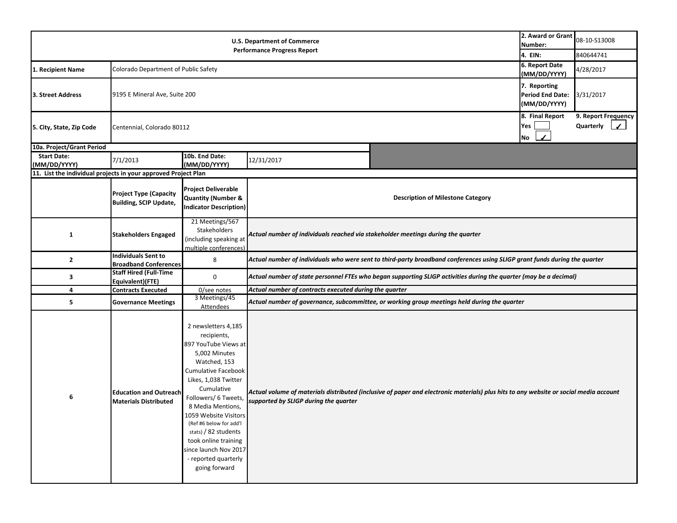|                                                                | 2. Award or Grant<br>Number:<br>4. EIN:                        | 08-10-S13008<br>840644741                                                                                                                                                                                                                                                                                                                                                         |                                                                                                                                                                                |  |                                                  |                                                  |  |  |
|----------------------------------------------------------------|----------------------------------------------------------------|-----------------------------------------------------------------------------------------------------------------------------------------------------------------------------------------------------------------------------------------------------------------------------------------------------------------------------------------------------------------------------------|--------------------------------------------------------------------------------------------------------------------------------------------------------------------------------|--|--------------------------------------------------|--------------------------------------------------|--|--|
| 1. Recipient Name                                              | Colorado Department of Public Safety                           |                                                                                                                                                                                                                                                                                                                                                                                   |                                                                                                                                                                                |  |                                                  | 4/28/2017                                        |  |  |
| 3. Street Address                                              | 9195 E Mineral Ave, Suite 200                                  |                                                                                                                                                                                                                                                                                                                                                                                   |                                                                                                                                                                                |  |                                                  | 3/31/2017                                        |  |  |
| 5. City, State, Zip Code                                       | Centennial, Colorado 80112                                     |                                                                                                                                                                                                                                                                                                                                                                                   |                                                                                                                                                                                |  | 8. Final Report<br>Yes<br>$\boldsymbol{J}$<br>No | 9. Report Frequency<br>Quarterly<br>$\checkmark$ |  |  |
| 10a. Project/Grant Period                                      |                                                                |                                                                                                                                                                                                                                                                                                                                                                                   |                                                                                                                                                                                |  |                                                  |                                                  |  |  |
| <b>Start Date:</b><br>(MM/DD/YYYY)                             | 7/1/2013                                                       | 10b. End Date:<br>(MM/DD/YYYY)                                                                                                                                                                                                                                                                                                                                                    | 12/31/2017                                                                                                                                                                     |  |                                                  |                                                  |  |  |
| 11. List the individual projects in your approved Project Plan |                                                                |                                                                                                                                                                                                                                                                                                                                                                                   |                                                                                                                                                                                |  |                                                  |                                                  |  |  |
|                                                                | <b>Project Type (Capacity</b><br><b>Building, SCIP Update,</b> | <b>Project Deliverable</b><br><b>Quantity (Number &amp;</b><br><b>Indicator Description)</b>                                                                                                                                                                                                                                                                                      | <b>Description of Milestone Category</b>                                                                                                                                       |  |                                                  |                                                  |  |  |
| $\mathbf{1}$                                                   | <b>Stakeholders Engaged</b>                                    | 21 Meetings/567<br>Stakeholders<br>(including speaking at<br>multiple conferences)                                                                                                                                                                                                                                                                                                | Actual number of individuals reached via stakeholder meetings during the quarter                                                                                               |  |                                                  |                                                  |  |  |
| $\mathbf{2}$                                                   | <b>Individuals Sent to</b><br><b>Broadband Conferences</b>     | 8                                                                                                                                                                                                                                                                                                                                                                                 | Actual number of individuals who were sent to third-party broadband conferences using SLIGP grant funds during the quarter                                                     |  |                                                  |                                                  |  |  |
| 3                                                              | <b>Staff Hired (Full-Time</b><br>Equivalent)(FTE)              | 0                                                                                                                                                                                                                                                                                                                                                                                 | Actual number of state personnel FTEs who began supporting SLIGP activities during the quarter (may be a decimal)                                                              |  |                                                  |                                                  |  |  |
| 4                                                              | <b>Contracts Executed</b>                                      | 0/see notes                                                                                                                                                                                                                                                                                                                                                                       | Actual number of contracts executed during the quarter                                                                                                                         |  |                                                  |                                                  |  |  |
| 5                                                              | <b>Governance Meetings</b>                                     | 3 Meetings/45<br><b>Attendees</b>                                                                                                                                                                                                                                                                                                                                                 | Actual number of governance, subcommittee, or working group meetings held during the quarter                                                                                   |  |                                                  |                                                  |  |  |
| 6                                                              | <b>Education and Outreach</b><br><b>Materials Distributed</b>  | 2 newsletters 4,185<br>recipients,<br>897 YouTube Views at<br>5,002 Minutes<br>Watched, 153<br><b>Cumulative Facebook</b><br>Likes, 1,038 Twitter<br>Cumulative<br>Followers/ 6 Tweets<br>8 Media Mentions,<br>1059 Website Visitors<br>(Ref #6 below for add'l<br>stats) / 82 students<br>took online training<br>since launch Nov 2017<br>- reported quarterly<br>going forward | Actual volume of materials distributed (inclusive of paper and electronic materials) plus hits to any website or social media account<br>supported by SLIGP during the quarter |  |                                                  |                                                  |  |  |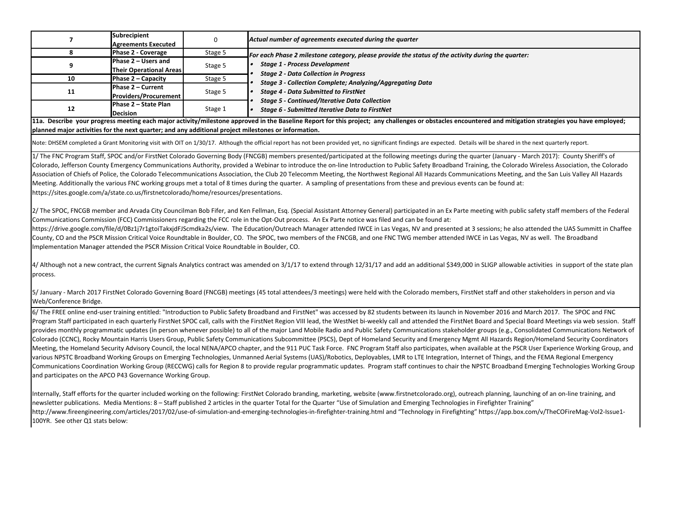| $\overline{\phantom{a}}$                                                                                                                                                                                                                                                                                                                                                                                                                                                                                                                                                                                                                                                                                                                                                                                                                                                                                                                                                                                                                                                                                                                                                                                                                                                                                                                                                                                                                                                                                                                                                                                                                                                                                                                                                                                                                                                                                                                                                                                                                                                                                                                                                                                                                                         | Subrecipient<br><b>Agreements Executed</b>            | 0       | Actual number of agreements executed during the quarter                                                                                    |  |  |  |  |  |  |
|------------------------------------------------------------------------------------------------------------------------------------------------------------------------------------------------------------------------------------------------------------------------------------------------------------------------------------------------------------------------------------------------------------------------------------------------------------------------------------------------------------------------------------------------------------------------------------------------------------------------------------------------------------------------------------------------------------------------------------------------------------------------------------------------------------------------------------------------------------------------------------------------------------------------------------------------------------------------------------------------------------------------------------------------------------------------------------------------------------------------------------------------------------------------------------------------------------------------------------------------------------------------------------------------------------------------------------------------------------------------------------------------------------------------------------------------------------------------------------------------------------------------------------------------------------------------------------------------------------------------------------------------------------------------------------------------------------------------------------------------------------------------------------------------------------------------------------------------------------------------------------------------------------------------------------------------------------------------------------------------------------------------------------------------------------------------------------------------------------------------------------------------------------------------------------------------------------------------------------------------------------------|-------------------------------------------------------|---------|--------------------------------------------------------------------------------------------------------------------------------------------|--|--|--|--|--|--|
| 8                                                                                                                                                                                                                                                                                                                                                                                                                                                                                                                                                                                                                                                                                                                                                                                                                                                                                                                                                                                                                                                                                                                                                                                                                                                                                                                                                                                                                                                                                                                                                                                                                                                                                                                                                                                                                                                                                                                                                                                                                                                                                                                                                                                                                                                                | Phase 2 - Coverage                                    | Stage 5 |                                                                                                                                            |  |  |  |  |  |  |
| 9                                                                                                                                                                                                                                                                                                                                                                                                                                                                                                                                                                                                                                                                                                                                                                                                                                                                                                                                                                                                                                                                                                                                                                                                                                                                                                                                                                                                                                                                                                                                                                                                                                                                                                                                                                                                                                                                                                                                                                                                                                                                                                                                                                                                                                                                | Phase 2 - Users and<br><b>Their Operational Areas</b> | Stage 5 | For each Phase 2 milestone category, please provide the status of the activity during the quarter:<br><b>Stage 1 - Process Development</b> |  |  |  |  |  |  |
| 10                                                                                                                                                                                                                                                                                                                                                                                                                                                                                                                                                                                                                                                                                                                                                                                                                                                                                                                                                                                                                                                                                                                                                                                                                                                                                                                                                                                                                                                                                                                                                                                                                                                                                                                                                                                                                                                                                                                                                                                                                                                                                                                                                                                                                                                               | Phase 2 - Capacity                                    | Stage 5 | <b>Stage 2 - Data Collection in Progress</b><br><b>Stage 3 - Collection Complete; Analyzing/Aggregating Data</b>                           |  |  |  |  |  |  |
| 11                                                                                                                                                                                                                                                                                                                                                                                                                                                                                                                                                                                                                                                                                                                                                                                                                                                                                                                                                                                                                                                                                                                                                                                                                                                                                                                                                                                                                                                                                                                                                                                                                                                                                                                                                                                                                                                                                                                                                                                                                                                                                                                                                                                                                                                               | Phase 2 - Current<br><b>Providers/Procurement</b>     | Stage 5 | <b>Stage 4 - Data Submitted to FirstNet</b>                                                                                                |  |  |  |  |  |  |
| 12                                                                                                                                                                                                                                                                                                                                                                                                                                                                                                                                                                                                                                                                                                                                                                                                                                                                                                                                                                                                                                                                                                                                                                                                                                                                                                                                                                                                                                                                                                                                                                                                                                                                                                                                                                                                                                                                                                                                                                                                                                                                                                                                                                                                                                                               | Phase 2 - State Plan<br><b>Decision</b>               | Stage 1 | <b>Stage 5 - Continued/Iterative Data Collection</b><br>Stage 6 - Submitted Iterative Data to FirstNet                                     |  |  |  |  |  |  |
| 11a. Describe your progress meeting each major activity/milestone approved in the Baseline Report for this project; any challenges or obstacles encountered and mitigation strategies you have employed;<br>planned major activities for the next quarter; and any additional project milestones or information.                                                                                                                                                                                                                                                                                                                                                                                                                                                                                                                                                                                                                                                                                                                                                                                                                                                                                                                                                                                                                                                                                                                                                                                                                                                                                                                                                                                                                                                                                                                                                                                                                                                                                                                                                                                                                                                                                                                                                 |                                                       |         |                                                                                                                                            |  |  |  |  |  |  |
| Note: DHSEM completed a Grant Monitoring visit with OIT on 1/30/17. Although the official report has not been provided yet, no significant findings are expected. Details will be shared in the next quarterly report.                                                                                                                                                                                                                                                                                                                                                                                                                                                                                                                                                                                                                                                                                                                                                                                                                                                                                                                                                                                                                                                                                                                                                                                                                                                                                                                                                                                                                                                                                                                                                                                                                                                                                                                                                                                                                                                                                                                                                                                                                                           |                                                       |         |                                                                                                                                            |  |  |  |  |  |  |
| 1/ The FNC Program Staff, SPOC and/or FirstNet Colorado Governing Body (FNCGB) members presented/participated at the following meetings during the quarter (January - March 2017): County Sheriff's of<br>Colorado, Jefferson County Emergency Communications Authority, provided a Webinar to introduce the on-line Introduction to Public Safety Broadband Training, the Colorado Wireless Association, the Colorado<br>Association of Chiefs of Police, the Colorado Telecommunications Association, the Club 20 Telecomm Meeting, the Northwest Regional All Hazards Communications Meeting, and the San Luis Valley All Hazards<br>Meeting. Additionally the various FNC working groups met a total of 8 times during the quarter. A sampling of presentations from these and previous events can be found at:<br>https://sites.google.com/a/state.co.us/firstnetcolorado/home/resources/presentations.<br>2/ The SPOC, FNCGB member and Arvada City Councilman Bob Fifer, and Ken Fellman, Esg. (Special Assistant Attorney General) participated in an Ex Parte meeting with public safety staff members of the Federal<br>Communications Commission (FCC) Commissioners regarding the FCC role in the Opt-Out process. An Ex Parte notice was filed and can be found at:<br>https://drive.google.com/file/d/0Bz1j7r1gtoiTakxjdFJScmdka2s/view. The Education/Outreach Manager attended IWCE in Las Vegas, NV and presented at 3 sessions; he also attended the UAS Summitt in Chaffee<br>County, CO and the PSCR Mission Critical Voice Roundtable in Boulder, CO. The SPOC, two members of the FNCGB, and one FNC TWG member attended IWCE in Las Vegas, NV as well. The Broadband<br>Implementation Manager attended the PSCR Mission Critical Voice Roundtable in Boulder, CO.<br>4/ Although not a new contract, the current Signals Analytics contract was amended on 3/1/17 to extend through 12/31/17 and add an additional \$349,000 in SLIGP allowable activities in support of the state plan<br>process.<br>5/ January - March 2017 FirstNet Colorado Governing Board (FNCGB) meetings (45 total attendees/3 meetings) were held with the Colorado members, FirstNet staff and other stakeholders in person and via<br>Web/Conference Bridge. |                                                       |         |                                                                                                                                            |  |  |  |  |  |  |
| 6/ The FREE online end-user training entitled: "Introduction to Public Safety Broadband and FirstNet" was accessed by 82 students between its launch in November 2016 and March 2017. The SPOC and FNC<br>Program Staff participated in each quarterly FirstNet SPOC call, calls with the FirstNet Region VIII lead, the WestNet bi-weekly call and attended the FirstNet Board and Special Board Meetings via web session. Staff<br>provides monthly programmatic updates (in person whenever possible) to all of the major Land Mobile Radio and Public Safety Communications stakeholder groups (e.g., Consolidated Communications Network of<br>Colorado (CCNC), Rocky Mountain Harris Users Group, Public Safety Communications Subcommittee (PSCS), Dept of Homeland Security and Emergency Mgmt All Hazards Region/Homeland Security Coordinators<br>Meeting, the Homeland Security Advisory Council, the local NENA/APCO chapter, and the 911 PUC Task Force. FNC Program Staff also participates, when available at the PSCR User Experience Working Group, and<br>various NPSTC Broadband Working Groups on Emerging Technologies, Unmanned Aerial Systems (UAS)/Robotics, Deployables, LMR to LTE Integration, Internet of Things, and the FEMA Regional Emergency<br>Communications Coordination Working Group (RECCWG) calls for Region 8 to provide regular programmatic updates. Program staff continues to chair the NPSTC Broadband Emerging Technologies Working Group<br>and participates on the APCO P43 Governance Working Group.                                                                                                                                                                                                                                                                                                                                                                                                                                                                                                                                                                                                                                                                                                           |                                                       |         |                                                                                                                                            |  |  |  |  |  |  |

Internally, Staff efforts for the quarter included working on the following: FirstNet Colorado branding, marketing, website (www.firstnetcolorado.org), outreach planning, launching of an on‐line training, and newsletter publications. Media Mentions: 8 – Staff published 2 articles in the quarter Total for the Quarter "Use of Simulation and Emerging Technologies in Firefighter Training" http://www.fireengineering.com/articles/2017/02/use‐of‐simulation‐and‐emerging‐technologies‐in‐firefighter‐training.html and "Technology in Firefighting" https://app.box.com/v/TheCOFireMag‐Vol2‐Issue1‐ 100YR. See other Q1 stats below: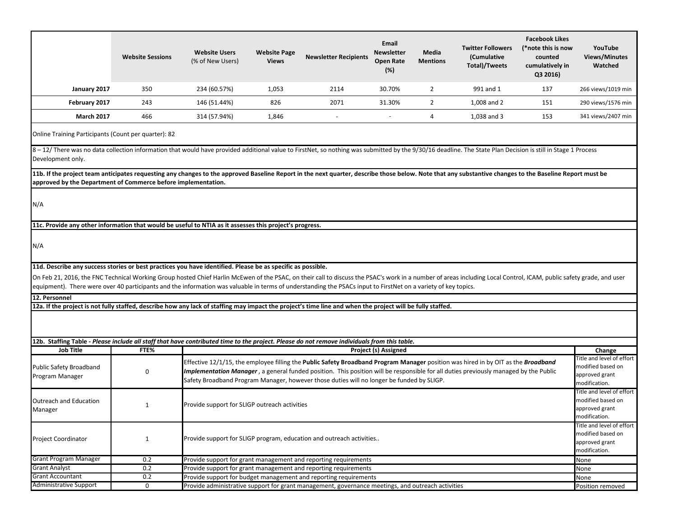|                                                                                                                                                                                                                                                                                                                                                                                                                                                                                                      | <b>Website Sessions</b> | <b>Website Users</b><br>(% of New Users)                                                                                                                                                                                                                                                                                                                               | <b>Website Page</b><br><b>Views</b> | <b>Newsletter Recipients</b>                                                                      | Email<br><b>Newsletter</b><br><b>Open Rate</b><br>(%) | Media<br><b>Mentions</b> | <b>Twitter Followers</b><br>(Cumulative<br>Total)/Tweets | <b>Facebook Likes</b><br>(*note this is now<br>counted<br>cumulatively in<br>Q3 2016) | YouTube<br><b>Views/Minutes</b><br>Watched                                        |
|------------------------------------------------------------------------------------------------------------------------------------------------------------------------------------------------------------------------------------------------------------------------------------------------------------------------------------------------------------------------------------------------------------------------------------------------------------------------------------------------------|-------------------------|------------------------------------------------------------------------------------------------------------------------------------------------------------------------------------------------------------------------------------------------------------------------------------------------------------------------------------------------------------------------|-------------------------------------|---------------------------------------------------------------------------------------------------|-------------------------------------------------------|--------------------------|----------------------------------------------------------|---------------------------------------------------------------------------------------|-----------------------------------------------------------------------------------|
| January 2017                                                                                                                                                                                                                                                                                                                                                                                                                                                                                         | 350                     | 234 (60.57%)                                                                                                                                                                                                                                                                                                                                                           | 1,053                               | 2114                                                                                              | 30.70%                                                | $\overline{2}$           | 991 and 1                                                | 137                                                                                   | 266 views/1019 min                                                                |
| February 2017                                                                                                                                                                                                                                                                                                                                                                                                                                                                                        | 243                     | 146 (51.44%)                                                                                                                                                                                                                                                                                                                                                           | 826                                 | 2071                                                                                              | 31.30%                                                | $\overline{2}$           | 1,008 and 2                                              | 151                                                                                   | 290 views/1576 min                                                                |
| <b>March 2017</b>                                                                                                                                                                                                                                                                                                                                                                                                                                                                                    | 466                     | 314 (57.94%)                                                                                                                                                                                                                                                                                                                                                           | 1,846                               |                                                                                                   |                                                       | 4                        | 1,038 and 3                                              | 153                                                                                   | 341 views/2407 min                                                                |
| Online Training Participants (Count per quarter): 82                                                                                                                                                                                                                                                                                                                                                                                                                                                 |                         |                                                                                                                                                                                                                                                                                                                                                                        |                                     |                                                                                                   |                                                       |                          |                                                          |                                                                                       |                                                                                   |
| 8 - 12/ There was no data collection information that would have provided additional value to FirstNet, so nothing was submitted by the 9/30/16 deadline. The State Plan Decision is still in Stage 1 Process<br>Development only.                                                                                                                                                                                                                                                                   |                         |                                                                                                                                                                                                                                                                                                                                                                        |                                     |                                                                                                   |                                                       |                          |                                                          |                                                                                       |                                                                                   |
| 11b. If the project team anticipates requesting any changes to the approved Baseline Report in the next quarter, describe those below. Note that any substantive changes to the Baseline Report must be<br>approved by the Department of Commerce before implementation.                                                                                                                                                                                                                             |                         |                                                                                                                                                                                                                                                                                                                                                                        |                                     |                                                                                                   |                                                       |                          |                                                          |                                                                                       |                                                                                   |
| N/A                                                                                                                                                                                                                                                                                                                                                                                                                                                                                                  |                         |                                                                                                                                                                                                                                                                                                                                                                        |                                     |                                                                                                   |                                                       |                          |                                                          |                                                                                       |                                                                                   |
| 11c. Provide any other information that would be useful to NTIA as it assesses this project's progress.                                                                                                                                                                                                                                                                                                                                                                                              |                         |                                                                                                                                                                                                                                                                                                                                                                        |                                     |                                                                                                   |                                                       |                          |                                                          |                                                                                       |                                                                                   |
| N/A                                                                                                                                                                                                                                                                                                                                                                                                                                                                                                  |                         |                                                                                                                                                                                                                                                                                                                                                                        |                                     |                                                                                                   |                                                       |                          |                                                          |                                                                                       |                                                                                   |
| 11d. Describe any success stories or best practices you have identified. Please be as specific as possible.<br>On Feb 21, 2016, the FNC Technical Working Group hosted Chief Harlin McEwen of the PSAC, on their call to discuss the PSAC's work in a number of areas including Local Control, ICAM, public safety grade, and user<br>equipment). There were over 40 participants and the information was valuable in terms of understanding the PSACs input to FirstNet on a variety of key topics. |                         |                                                                                                                                                                                                                                                                                                                                                                        |                                     |                                                                                                   |                                                       |                          |                                                          |                                                                                       |                                                                                   |
| 12. Personnel                                                                                                                                                                                                                                                                                                                                                                                                                                                                                        |                         |                                                                                                                                                                                                                                                                                                                                                                        |                                     |                                                                                                   |                                                       |                          |                                                          |                                                                                       |                                                                                   |
| 12a. If the project is not fully staffed, describe how any lack of staffing may impact the project's time line and when the project will be fully staffed.<br>12b. Staffing Table - Please include all staff that have contributed time to the project. Please do not remove individuals from this table.                                                                                                                                                                                            |                         |                                                                                                                                                                                                                                                                                                                                                                        |                                     |                                                                                                   |                                                       |                          |                                                          |                                                                                       |                                                                                   |
| <b>Job Title</b>                                                                                                                                                                                                                                                                                                                                                                                                                                                                                     | FTE%                    |                                                                                                                                                                                                                                                                                                                                                                        |                                     |                                                                                                   | Project (s) Assigned                                  |                          |                                                          |                                                                                       | Change                                                                            |
| Public Safety Broadband<br>Program Manager                                                                                                                                                                                                                                                                                                                                                                                                                                                           | 0                       | Effective 12/1/15, the employee filling the Public Safety Broadband Program Manager position was hired in by OIT as the Broadband<br>Implementation Manager, a general funded position. This position will be responsible for all duties previously managed by the Public<br>Safety Broadband Program Manager, however those duties will no longer be funded by SLIGP. |                                     |                                                                                                   |                                                       |                          |                                                          | Title and level of effort<br>modified based on<br>approved grant<br>modification.     |                                                                                   |
| Outreach and Education<br>Manager                                                                                                                                                                                                                                                                                                                                                                                                                                                                    | 1                       | Provide support for SLIGP outreach activities                                                                                                                                                                                                                                                                                                                          |                                     |                                                                                                   |                                                       |                          |                                                          |                                                                                       | Title and level of effort<br>modified based on<br>approved grant<br>modification. |
| <b>Project Coordinator</b>                                                                                                                                                                                                                                                                                                                                                                                                                                                                           | $\mathbf{1}$            | Provide support for SLIGP program, education and outreach activities                                                                                                                                                                                                                                                                                                   |                                     |                                                                                                   |                                                       |                          |                                                          | Title and level of effort<br>modified based on<br>approved grant<br>modification.     |                                                                                   |
| <b>Grant Program Manager</b>                                                                                                                                                                                                                                                                                                                                                                                                                                                                         | 0.2                     |                                                                                                                                                                                                                                                                                                                                                                        |                                     | Provide support for grant management and reporting requirements                                   |                                                       |                          |                                                          |                                                                                       | None                                                                              |
| <b>Grant Analyst</b>                                                                                                                                                                                                                                                                                                                                                                                                                                                                                 | 0.2                     |                                                                                                                                                                                                                                                                                                                                                                        |                                     | Provide support for grant management and reporting requirements                                   |                                                       |                          |                                                          |                                                                                       | None                                                                              |
| <b>Grant Accountant</b>                                                                                                                                                                                                                                                                                                                                                                                                                                                                              | 0.2                     |                                                                                                                                                                                                                                                                                                                                                                        |                                     | Provide support for budget management and reporting requirements                                  |                                                       |                          |                                                          |                                                                                       | None                                                                              |
| <b>Administrative Support</b>                                                                                                                                                                                                                                                                                                                                                                                                                                                                        | 0                       |                                                                                                                                                                                                                                                                                                                                                                        |                                     | Provide administrative support for grant management, governance meetings, and outreach activities |                                                       |                          |                                                          |                                                                                       | Position removed                                                                  |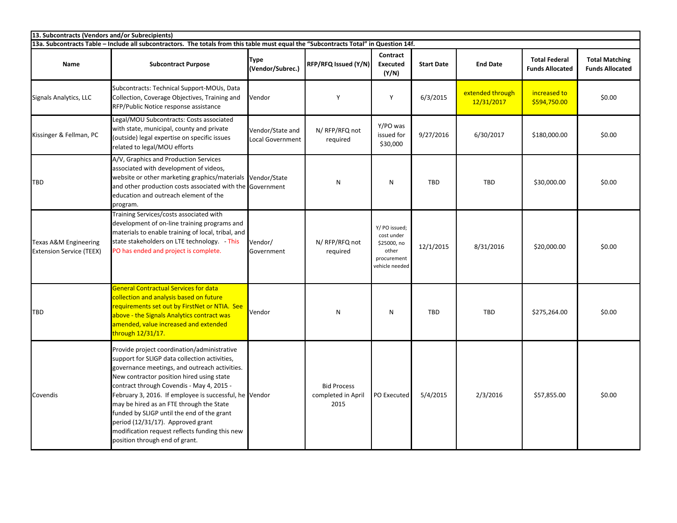| 13. Subcontracts (Vendors and/or Subrecipients)                                                                                       |                                                                                                                                                                                                                                                                                                                                                                                                                                                                                                                      |                                             |                                                  |                                                                                      |                   |                                |                                                |                                                 |  |
|---------------------------------------------------------------------------------------------------------------------------------------|----------------------------------------------------------------------------------------------------------------------------------------------------------------------------------------------------------------------------------------------------------------------------------------------------------------------------------------------------------------------------------------------------------------------------------------------------------------------------------------------------------------------|---------------------------------------------|--------------------------------------------------|--------------------------------------------------------------------------------------|-------------------|--------------------------------|------------------------------------------------|-------------------------------------------------|--|
| 13a. Subcontracts Table - Include all subcontractors. The totals from this table must equal the "Subcontracts Total" in Question 14f. |                                                                                                                                                                                                                                                                                                                                                                                                                                                                                                                      |                                             |                                                  |                                                                                      |                   |                                |                                                |                                                 |  |
| <b>Name</b>                                                                                                                           | <b>Subcontract Purpose</b>                                                                                                                                                                                                                                                                                                                                                                                                                                                                                           | <b>Type</b><br>(Vendor/Subrec.)             | RFP/RFQ Issued (Y/N)                             | Contract<br><b>Executed</b><br>(Y/N)                                                 | <b>Start Date</b> | <b>End Date</b>                | <b>Total Federal</b><br><b>Funds Allocated</b> | <b>Total Matching</b><br><b>Funds Allocated</b> |  |
| Signals Analytics, LLC                                                                                                                | Subcontracts: Technical Support-MOUs, Data<br>Collection, Coverage Objectives, Training and<br>RFP/Public Notice response assistance                                                                                                                                                                                                                                                                                                                                                                                 | Vendor                                      | Y                                                | Y                                                                                    | 6/3/2015          | extended through<br>12/31/2017 | increased to<br>\$594,750.00                   | \$0.00                                          |  |
| Kissinger & Fellman, PC                                                                                                               | Legal/MOU Subcontracts: Costs associated<br>with state, municipal, county and private<br>(outside) legal expertise on specific issues<br>related to legal/MOU efforts                                                                                                                                                                                                                                                                                                                                                | Vendor/State and<br><b>Local Government</b> | N/ RFP/RFQ not<br>required                       | Y/PO was<br>issued for<br>\$30,000                                                   | 9/27/2016         | 6/30/2017                      | \$180,000.00                                   | \$0.00                                          |  |
| TBD                                                                                                                                   | A/V, Graphics and Production Services<br>associated with development of videos,<br>website or other marketing graphics/materials<br>and other production costs associated with the Government<br>education and outreach element of the<br>program.                                                                                                                                                                                                                                                                   | Vendor/State                                | N                                                | $\mathsf{N}$                                                                         | <b>TBD</b>        | <b>TBD</b>                     | \$30,000.00                                    | \$0.00                                          |  |
| <b>Texas A&amp;M Engineering</b><br><b>Extension Service (TEEX)</b>                                                                   | Training Services/costs associated with<br>development of on-line training programs and<br>materials to enable training of local, tribal, and<br>state stakeholders on LTE technology. - This<br>PO has ended and project is complete.                                                                                                                                                                                                                                                                               | Vendor/<br>Government                       | N/ RFP/RFQ not<br>required                       | Y/ PO issued;<br>cost under<br>\$25000, no<br>other<br>procurement<br>vehicle needed | 12/1/2015         | 8/31/2016                      | \$20,000.00                                    | \$0.00                                          |  |
| <b>TBD</b>                                                                                                                            | <b>General Contractual Services for data</b><br>collection and analysis based on future<br>requirements set out by FirstNet or NTIA. See<br>above - the Signals Analytics contract was<br>amended, value increased and extended<br>through 12/31/17.                                                                                                                                                                                                                                                                 | Vendor                                      | N                                                | N                                                                                    | <b>TBD</b>        | <b>TBD</b>                     | \$275,264.00                                   | \$0.00                                          |  |
| Covendis                                                                                                                              | Provide project coordination/administrative<br>support for SLIGP data collection activities,<br>governance meetings, and outreach activities.<br>New contractor position hired using state<br>contract through Covendis - May 4, 2015 -<br>February 3, 2016. If employee is successful, he Vendor<br>may be hired as an FTE through the State<br>funded by SLIGP until the end of the grant<br>period (12/31/17). Approved grant<br>modification request reflects funding this new<br>position through end of grant. |                                             | <b>Bid Process</b><br>completed in April<br>2015 | PO Executed                                                                          | 5/4/2015          | 2/3/2016                       | \$57,855.00                                    | \$0.00                                          |  |